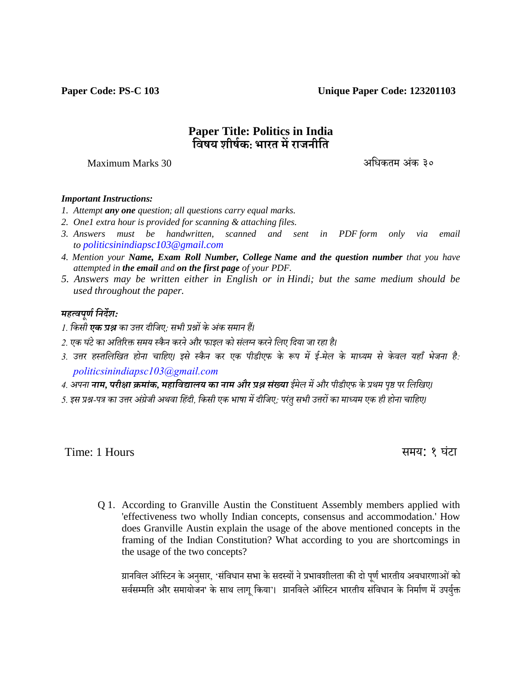## **Paper Title: Politics in India विषय शीषषक: भारत में राजनीवत**

Maximum Marks 30 अधधकतम अकं ३०

## *Important Instructions:*

- *1. Attempt any one question; all questions carry equal marks.*
- *2. One1 extra hour is provided for scanning & attaching files.*
- *3. Answers must be handwritten, scanned and sent in PDF form only via email to [politicsinindiapsc103@gmail.com](mailto:politicsinindiapsc103@gmail.com)*
- *4. Mention your Name, Exam Roll Number, College Name and the question number that you have attempted in the email and on the first page of your PDF.*
- *5. Answers may be written either in English or in Hindi; but the same medium should be used throughout the paper.*

## *महत्वपूर्णनिर्देश:*

- *1. किसी एक प्रश्न िा उत्तर दीकिए; सभी प्रश्नों िेअंि समानह।ैं*
- *2. एि घटं ेिा अकिररक्त समय स्िैन िरनेऔर फाइल िो सलं ग्न िरनेकलएकदया िा रहाह।ै*
- *3. उत्तर हस्िकलकिि होना चाकहए। इसे स्िै न िर एि पीडीएफ िे रूप में ई-मेल िे माध्यम से िे वल यहााँ भेिना है: [politicsinindiapsc103@gmail.com](mailto:politicsinindiapsc103@gmail.com)*
- 4. अपना **नाम, परीक्षा क्रमांक, महाविद्यालय का नाम और प्रश्न संख्या** ईमेल में और पीडीएफ के प्रथम पृष्ठ पर लिखिए।
- 5. इस प्रश्न-पत्र का उत्तर अंग्रेजी अथवा हिंदी, किसी एक भाषा में दीजिए: परंत सभी उत्तरों का माध्यम एक ही होना चाहिए।

Time: 1 Hours समय: १ घंटा

Q 1. According to Granville Austin the Constituent Assembly members applied with 'effectiveness two wholly Indian concepts, consensus and accommodation.' How does Granville Austin explain the usage of the above mentioned concepts in the framing of the Indian Constitution? What according to you are shortcomings in the usage of the two concepts?

ग्रानविल ऑस्टिन के अनुसार, 'संविधान सभा के सदस्यों ने प्रभावशीलता की दो पूर्ण भारतीय अवधारणाओं को सर्वसम्मति और समायोजन' के साथ लागू किया'। ग्रानविले ऑस्टिन भारतीय संविधान के निर्माण में उपर्युक्त